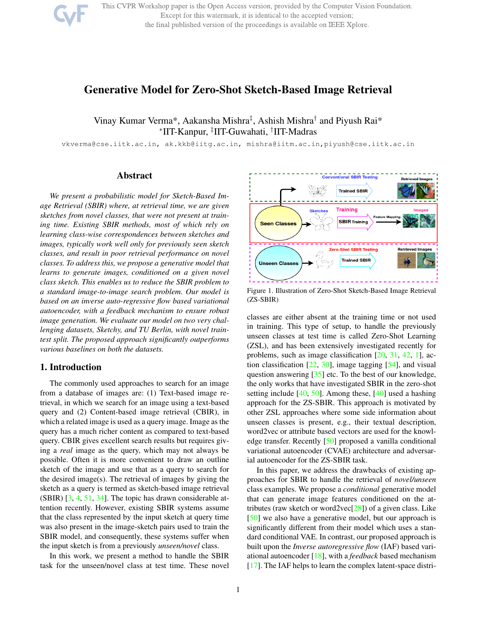

This CVPR Workshop paper is the Open Access version, provided by the Computer Vision Foundation. Except for this watermark, it is identical to the accepted version; the final published version of the proceedings is available on IEEE Xplore.

# Generative Model for Zero-Shot Sketch-Based Image Retrieval

# Vinay Kumar Verma\*, Aakansha Mishra<sup>‡</sup>, Ashish Mishra<sup>†</sup> and Piyush Rai\* ∗ IIT-Kanpur, ‡ IIT-Guwahati, † IIT-Madras

vkverma@cse.iitk.ac.in, ak.kkb@iitg.ac.in, mishra@iitm.ac.in,piyush@cse.iitk.ac.in

## Abstract

*We present a probabilistic model for Sketch-Based Image Retrieval (SBIR) where, at retrieval time, we are given sketches from novel classes, that were not present at training time. Existing SBIR methods, most of which rely on learning class-wise correspondences between sketches and images, typically work well only for previously seen sketch classes, and result in poor retrieval performance on novel classes. To address this, we propose a generative model that learns to generate images, conditioned on a given novel class sketch. This enables us to reduce the SBIR problem to a standard image-to-image search problem. Our model is based on an inverse auto-regressive flow based variational autoencoder, with a feedback mechanism to ensure robust image generation. We evaluate our model on two very challenging datasets, Sketchy, and TU Berlin, with novel traintest split. The proposed approach significantly outperforms various baselines on both the datasets.*

## 1. Introduction

The commonly used approaches to search for an image from a database of images are: (1) Text-based image retrieval, in which we search for an image using a text-based query and (2) Content-based image retrieval (CBIR), in which a related image is used as a query image. Image as the query has a much richer content as compared to text-based query. CBIR gives excellent search results but requires giving a *real* image as the query, which may not always be possible. Often it is more convenient to draw an outline sketch of the image and use that as a query to search for the desired image(s). The retrieval of images by giving the sketch as a query is termed as sketch-based image retrieval (SBIR) [3, 4, 51, 34]. The topic has drawn considerable attention recently. However, existing SBIR systems assume that the class represented by the input sketch at query time was also present in the image-sketch pairs used to train the SBIR model, and consequently, these systems suffer when the input sketch is from a previously *unseen/novel* class.

In this work, we present a method to handle the SBIR task for the unseen/novel class at test time. These novel



Figure 1. Illustration of Zero-Shot Sketch-Based Image Retrieval (ZS-SBIR)

classes are either absent at the training time or not used in training. This type of setup, to handle the previously unseen classes at test time is called Zero-Shot Learning (ZSL), and has been extensively investigated recently for problems, such as image classification [20, 31, 42, 1], action classification  $[22, 30]$ , image tagging  $[54]$ , and visual question answering [35] etc. To the best of our knowledge, the only works that have investigated SBIR in the zero-shot setting include [40, 50]. Among these, [40] used a hashing approach for the ZS-SBIR. This approach is motivated by other ZSL approaches where some side information about unseen classes is present, e.g., their textual description, word2vec or attribute based vectors are used for the knowledge transfer. Recently [50] proposed a vanilla conditional variational autoencoder (CVAE) architecture and adversarial autoencoder for the ZS-SBIR task.

In this paper, we address the drawbacks of existing approaches for SBIR to handle the retrieval of *novel/unseen* class examples. We propose a *conditional* generative model that can generate image features conditioned on the attributes (raw sketch or word2vec $[28]$ ) of a given class. Like [50] we also have a generative model, but our approach is significantly different from their model which uses a standard conditional VAE. In contrast, our proposed approach is built upon the *Inverse autoregressive flow* (IAF) based variational autoencoder [18], with a *feedback* based mechanism [17]. The IAF helps to learn the complex latent-space distri-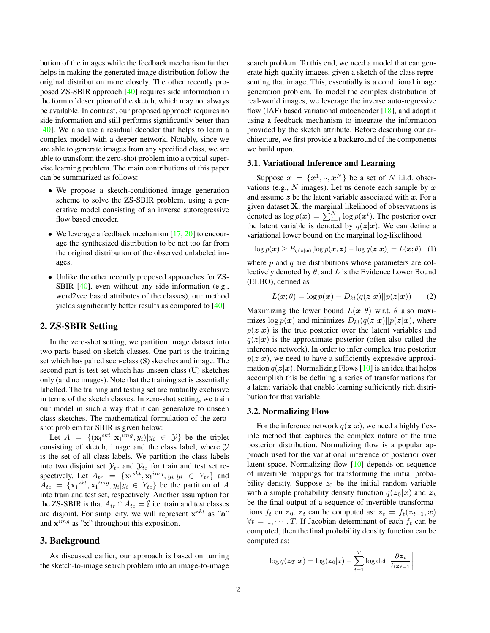bution of the images while the feedback mechanism further helps in making the generated image distribution follow the original distribution more closely. The other recently proposed ZS-SBIR approach [40] requires side information in the form of description of the sketch, which may not always be available. In contrast, our proposed approach requires no side information and still performs significantly better than [40]. We also use a residual decoder that helps to learn a complex model with a deeper network. Notably, since we are able to generate images from any specified class, we are able to transform the zero-shot problem into a typical supervise learning problem. The main contributions of this paper can be summarized as follows:

- We propose a sketch-conditioned image generation scheme to solve the ZS-SBIR problem, using a generative model consisting of an inverse autoregressive flow based encoder.
- We leverage a feedback mechanism  $[17, 20]$  to encourage the synthesized distribution to be not too far from the original distribution of the observed unlabeled images.
- Unlike the other recently proposed approaches for ZS-SBIR [40], even without any side information (e.g., word2vec based attributes of the classes), our method yields significantly better results as compared to [40].

## 2. ZS-SBIR Setting

In the zero-shot setting, we partition image dataset into two parts based on sketch classes. One part is the training set which has paired seen-class (S) sketches and image. The second part is test set which has unseen-class (U) sketches only (and no images). Note that the training set is essentially labelled. The training and testing set are mutually exclusive in terms of the sketch classes. In zero-shot setting, we train our model in such a way that it can generalize to unseen class sketches. The mathematical formulation of the zeroshot problem for SBIR is given below:

Let  $A = \{(\mathbf{x_i}^{skt}, \mathbf{x_i}^{img}, y_i)|y_i \in \mathcal{Y}\}\$  be the triplet consisting of sketch, image and the class label, where  $Y$ is the set of all class labels. We partition the class labels into two disjoint set  $\mathcal{Y}_{tr}$  and  $\mathcal{Y}_{te}$  for train and test set respectively. Let  $A_{tr} = {\mathbf{x_i}^{skt}, \mathbf{x_i}^{img}, y_i | y_i \in Y_{tr}}$  and  $A_{te} = {\mathbf{x_i}^{skt}, \mathbf{x_i}^{img}, y_i | y_i \in Y_{te}}$  be the partition of A into train and test set, respectively. Another assumption for the ZS-SBIR is that  $A_{tr} \cap A_{te} = \emptyset$  i.e. train and test classes are disjoint. For simplicity, we will represent  $\mathbf{x}^{skt}$  as "a" and  $\mathbf{x}^{img}$  as " $\mathbf{x}$ " throughout this exposition.

## 3. Background

As discussed earlier, our approach is based on turning the sketch-to-image search problem into an image-to-image

search problem. To this end, we need a model that can generate high-quality images, given a sketch of the class representing that image. This, essentially is a conditional image generation problem. To model the complex distribution of real-world images, we leverage the inverse auto-regressive flow (IAF) based variational autoencoder  $[18]$ , and adapt it using a feedback mechanism to integrate the information provided by the sketch attribute. Before describing our architecture, we first provide a background of the components we build upon.

## 3.1. Variational Inference and Learning

Suppose  $\boldsymbol{x} = \{x^1, \cdot\cdot, x^N\}$  be a set of N i.i.d. observations (e.g.,  $N$  images). Let us denote each sample by  $x$ and assume  $z$  be the latent variable associated with  $x$ . For a given dataset  $X$ , the marginal likelihood of observations is denoted as  $\log p(\boldsymbol{x}) = \sum_{i=1}^{N} \log p(\boldsymbol{x}^i)$ . The posterior over the latent variable is denoted by  $q(z|x)$ . We can define a variational lower bound on the marginal log-likelihood

 $\log p(\boldsymbol{x}) \ge E_{q(\boldsymbol{z}|\boldsymbol{x})}[\log p(\boldsymbol{x}, \boldsymbol{z}) - \log q(\boldsymbol{z}|\boldsymbol{x})] = L(\boldsymbol{x}; \theta)$  (1)

where  $p$  and  $q$  are distributions whose parameters are collectively denoted by  $\theta$ , and L is the Evidence Lower Bound (ELBO), defined as

$$
L(\boldsymbol{x};\theta) = \log p(\boldsymbol{x}) - D_{kl}(q(\boldsymbol{z}|\boldsymbol{x})||p(\boldsymbol{z}|\boldsymbol{x})) \qquad (2)
$$

Maximizing the lower bound  $L(x; \theta)$  w.r.t.  $\theta$  also maximizes  $\log p(x)$  and minimizes  $D_{kl}(q(z|x)||p(z|x))$ , where  $p(z|x)$  is the true posterior over the latent variables and  $q(z|x)$  is the approximate posterior (often also called the inference network). In order to infer complex true posterior  $p(z|x)$ , we need to have a sufficiently expressive approximation  $q(z|x)$ . Normalizing Flows [10] is an idea that helps accomplish this be defining a series of transformations for a latent variable that enable learning sufficiently rich distribution for that variable.

#### 3.2. Normalizing Flow

For the inference network  $q(z|x)$ , we need a highly flexible method that captures the complex nature of the true posterior distribution. Normalizing flow is a popular approach used for the variational inference of posterior over latent space. Normalizing flow [10] depends on sequence of invertible mappings for transforming the initial probability density. Suppose  $z_0$  be the initial random variable with a simple probability density function  $q(z_0|x)$  and  $z_t$ be the final output of a sequence of invertible transformations  $f_t$  on  $z_0$ ,  $z_t$  can be computed as:  $z_t = f_t(z_{t-1}, x)$  $\forall t = 1, \dots, T$ . If Jacobian determinant of each  $f_t$  can be computed, then the final probability density function can be computed as:

$$
\log q(\boldsymbol{z}_T|\boldsymbol{x}) = \log(\boldsymbol{z}_0|\boldsymbol{x}) - \sum_{t=1}^T \log \det \left| \frac{\partial \boldsymbol{z}_t}{\partial \boldsymbol{z}_{t-1}} \right|
$$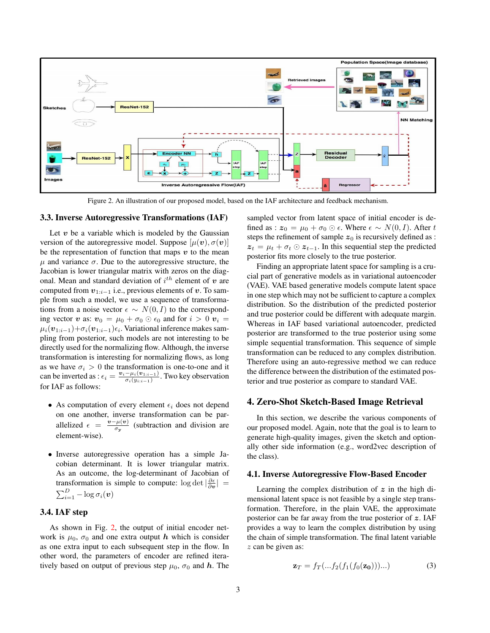

Figure 2. An illustration of our proposed model, based on the IAF architecture and feedback mechanism.

#### 3.3. Inverse Autoregressive Transformations (IAF)

Let  $v$  be a variable which is modeled by the Gaussian version of the autoregressive model. Suppose  $[\mu(\mathbf{v}), \sigma(\mathbf{v})]$ be the representation of function that maps  $v$  to the mean  $\mu$  and variance  $\sigma$ . Due to the autoregressive structure, the Jacobian is lower triangular matrix with zeros on the diagonal. Mean and standard deviation of  $i^{th}$  element of  $v$  are computed from  $v_{1:i-1}$  i.e., previous elements of v. To sample from such a model, we use a sequence of transformations from a noise vector  $\epsilon \sim N(0, I)$  to the corresponding vector v as:  $v_0 = \mu_0 + \sigma_0 \odot \epsilon_0$  and for  $i > 0$   $v_i =$  $\mu_i(\bm{v}_{1:i-1})+ \sigma_i(\bm{v}_{1:i-1})\epsilon_i.$  Variational inference makes sampling from posterior, such models are not interesting to be directly used for the normalizing flow. Although, the inverse transformation is interesting for normalizing flows, as long as we have  $\sigma_i > 0$  the transformation is one-to-one and it can be inverted as :  $\epsilon_i = \frac{v_i - \mu_i(v_{1:i-1})}{\sigma_i(v_{1:i-1})}$  $\frac{-\mu_i(\mathbf{v}_{1:i-1})}{\sigma_i(y_{i:i-1})}$ . Two key observation for IAF as follows:

- As computation of every element  $\epsilon_i$  does not depend on one another, inverse transformation can be parallelized  $\epsilon = \frac{v - \mu(v)}{v}$  $\frac{\partial^2 \mu(v)}{\partial y}$  (subtraction and division are element-wise).
- Inverse autoregressive operation has a simple Jacobian determinant. It is lower triangular matrix. As an outcome, the log-determinant of Jacobian of transformation is simple to compute:  $\log \det |\frac{\partial \epsilon}{\partial \mathbf{v}}|$  =  $\sum_{i=1}^D -\log \sigma_i(\boldsymbol{v})$

## 3.4. IAF step

As shown in Fig. 2, the output of initial encoder network is  $\mu_0$ ,  $\sigma_0$  and one extra output h which is consider as one extra input to each subsequent step in the flow. In other word, the parameters of encoder are refined iteratively based on output of previous step  $\mu_0$ ,  $\sigma_0$  and h. The sampled vector from latent space of initial encoder is defined as :  $z_0 = \mu_0 + \sigma_0 \odot \epsilon$ . Where  $\epsilon \sim N(0, I)$ . After t steps the refinement of sample  $z_0$  is recursively defined as :  $z_t = \mu_t + \sigma_t \odot z_{t-1}$ . In this sequential step the predicted posterior fits more closely to the true posterior.

Finding an appropriate latent space for sampling is a crucial part of generative models as in variational autoencoder (VAE). VAE based generative models compute latent space in one step which may not be sufficient to capture a complex distribution. So the distribution of the predicted posterior and true posterior could be different with adequate margin. Whereas in IAF based variational autoencoder, predicted posterior are transformed to the true posterior using some simple sequential transformation. This sequence of simple transformation can be reduced to any complex distribution. Therefore using an auto-regressive method we can reduce the difference between the distribution of the estimated posterior and true posterior as compare to standard VAE.

## 4. Zero-Shot Sketch-Based Image Retrieval

In this section, we describe the various components of our proposed model. Again, note that the goal is to learn to generate high-quality images, given the sketch and optionally other side information (e.g., word2vec description of the class).

#### 4.1. Inverse Autoregressive Flow-Based Encoder

Learning the complex distribution of  $z$  in the high dimensional latent space is not feasible by a single step transformation. Therefore, in the plain VAE, the approximate posterior can be far away from the true posterior of  $z$ . IAF provides a way to learn the complex distribution by using the chain of simple transformation. The final latent variable z can be given as:

$$
\mathbf{z}_T = f_T(\dots f_2(f_1(f_0(\mathbf{z_0})))\dots) \tag{3}
$$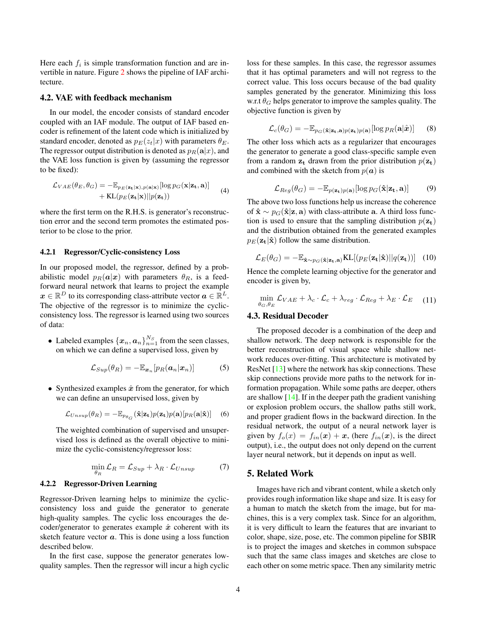Here each  $f_i$  is simple transformation function and are invertible in nature. Figure 2 shows the pipeline of IAF architecture.

#### 4.2. VAE with feedback mechanism

In our model, the encoder consists of standard encoder coupled with an IAF module. The output of IAF based encoder is refinement of the latent code which is initialized by standard encoder, denoted as  $p_E(z_t|x)$  with parameters  $\theta_E$ . The regressor output distribution is denoted as  $p_R(\mathbf{a}|x)$ , and the VAE loss function is given by (assuming the regressor to be fixed):

$$
\mathcal{L}_{VAE}(\theta_E, \theta_G) = -\mathbb{E}_{p_E(\mathbf{z_t}|\mathbf{x}), p(\mathbf{a}|\mathbf{x})}[\log p_G(\mathbf{x}|\mathbf{z_t}, \mathbf{a})] + \text{KL}(p_E(\mathbf{z_t}|\mathbf{x})||p(\mathbf{z_t}))
$$
\n(4)

where the first term on the R.H.S. is generator's reconstruction error and the second term promotes the estimated posterior to be close to the prior.

#### 4.2.1 Regressor/Cyclic-consistency Loss

In our proposed model, the regressor, defined by a probabilistic model  $p_R(a|x)$  with parameters  $\theta_R$ , is a feedforward neural network that learns to project the example  $x \in \mathbb{R}^D$  to its corresponding class-attribute vector  $a \in \mathbb{R}^L$ . The objective of the regressor is to minimize the cyclicconsistency loss. The regressor is learned using two sources of data:

• Labeled examples  $\{x_n, a_n\}_{n=1}^{N_S}$  from the seen classes, on which we can define a supervised loss, given by

$$
\mathcal{L}_{Sup}(\theta_R) = -\mathbb{E}_{\boldsymbol{x}_n}[p_R(\boldsymbol{a}_n|\boldsymbol{x}_n)] \tag{5}
$$

• Synthesized examples  $\hat{x}$  from the generator, for which we can define an unsupervised loss, given by

$$
\mathcal{L}_{Unsup}(\theta_R) = -\mathbb{E}_{p_{\theta_G}}(\hat{\mathbf{x}}|\mathbf{z_t})p(\mathbf{z_t})p(\mathbf{a})[p_R(\mathbf{a}|\hat{\mathbf{x}})] \quad (6)
$$

The weighted combination of supervised and unsupervised loss is defined as the overall objective to minimize the cyclic-consistency/regressor loss:

$$
\min_{\theta_R} \mathcal{L}_R = \mathcal{L}_{Sup} + \lambda_R \cdot \mathcal{L}_{Unsup} \tag{7}
$$

#### 4.2.2 Regressor-Driven Learning

Regressor-Driven learning helps to minimize the cyclicconsistency loss and guide the generator to generate high-quality samples. The cyclic loss encourages the decoder/generator to generates example  $\hat{x}$  coherent with its sketch feature vector  $a$ . This is done using a loss function described below.

In the first case, suppose the generator generates lowquality samples. Then the regressor will incur a high cyclic loss for these samples. In this case, the regressor assumes that it has optimal parameters and will not regress to the correct value. This loss occurs because of the bad quality samples generated by the generator. Minimizing this loss w.r.t  $\theta_G$  helps generator to improve the samples quality. The objective function is given by

$$
\mathcal{L}_c(\theta_G) = -\mathbb{E}_{p_G(\hat{\mathbf{x}}|\mathbf{z_t}, \mathbf{a})p(\mathbf{z_t})p(\mathbf{a})}[\log p_R(\mathbf{a}|\hat{\boldsymbol{x}})] \qquad (8)
$$

The other loss which acts as a regularizer that encourages the generator to generate a good class-specific sample even from a random  $z_t$  drawn from the prior distribution  $p(z_t)$ and combined with the sketch from  $p(a)$  is

$$
\mathcal{L}_{Reg}(\theta_G) = -\mathbb{E}_{p(\mathbf{z_t})p(\mathbf{a})}[\log p_G(\hat{\mathbf{x}}|\mathbf{z_t}, \mathbf{a})] \tag{9}
$$

The above two loss functions help us increase the coherence of  $\hat{\mathbf{x}} \sim p_G(\hat{\mathbf{x}}|\mathbf{z}, \mathbf{a})$  with class-attribute a. A third loss function is used to ensure that the sampling distribution  $p(\mathbf{z}_t)$ and the distribution obtained from the generated examples  $p_E(\mathbf{z}_t|\hat{\mathbf{x}})$  follow the same distribution.

$$
\mathcal{L}_E(\theta_G) = -\mathbb{E}_{\hat{\mathbf{x}} \sim p_G(\hat{\mathbf{x}}|\mathbf{z_t}, \mathbf{a})} \text{KL}[(p_E(\mathbf{z_t}|\hat{\mathbf{x}})||q(\mathbf{z_t}))]
$$
(10)

Hence the complete learning objective for the generator and encoder is given by,

$$
\min_{\theta_G, \theta_E} \mathcal{L}_{VAE} + \lambda_c \cdot \mathcal{L}_c + \lambda_{reg} \cdot \mathcal{L}_{Reg} + \lambda_E \cdot \mathcal{L}_E \tag{11}
$$

#### 4.3. Residual Decoder

The proposed decoder is a combination of the deep and shallow network. The deep network is responsible for the better reconstruction of visual space while shallow network reduces over-fitting. This architecture is motivated by ResNet [13] where the network has skip connections. These skip connections provide more paths to the network for information propagation. While some paths are deeper, others are shallow  $[14]$ . If in the deeper path the gradient vanishing or explosion problem occurs, the shallow paths still work, and proper gradient flows in the backward direction. In the residual network, the output of a neural network layer is given by  $f_o(x) = f_{in}(x) + x$ , (here  $f_{in}(x)$ , is the direct output), i.e., the output does not only depend on the current layer neural network, but it depends on input as well.

#### 5. Related Work

Images have rich and vibrant content, while a sketch only provides rough information like shape and size. It is easy for a human to match the sketch from the image, but for machines, this is a very complex task. Since for an algorithm, it is very difficult to learn the features that are invariant to color, shape, size, pose, etc. The common pipeline for SBIR is to project the images and sketches in common subspace such that the same class images and sketches are close to each other on some metric space. Then any similarity metric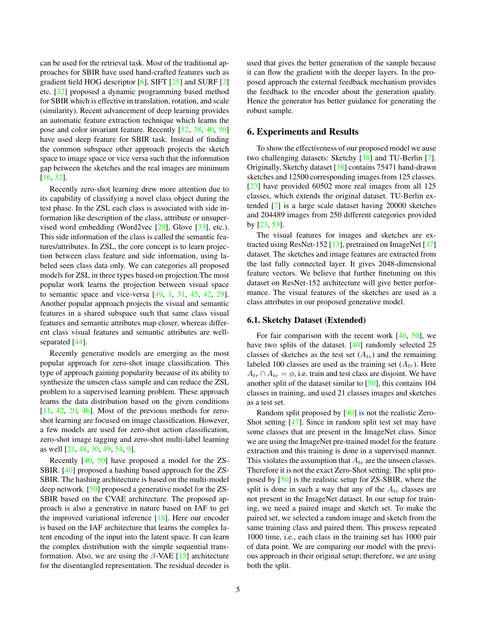can be used for the retrieval task. Most of the traditional approaches for SBIR have used hand-crafted features such as gradient field HOG descriptor [6], SIFT [25] and SURF [2] etc. [32] proposed a dynamic programming based method for SBIR which is effective in translation, rotation, and scale (similarity). Recent advancement of deep learning provides an automatic feature extraction technique which learns the pose and color invariant feature. Recently [52, 38, 40, 50] have used deep feature for SBIR task. Instead of finding the common subspace other approach projects the sketch space to image space or vice versa such that the information gap between the sketches and the real images are minimum [16, 32].

Recently zero-shot learning drew more attention due to its capability of classifying a novel class object during the test phase. In the ZSL each class is associated with side information like description of the class, attribute or unsupervised word embedding (Word2vec [28], Glove [33], etc.). This side information of the class is called the semantic features/attributes. In ZSL, the core concept is to learn projection between class feature and side information, using labeled seen class data only. We can categories all proposed models for ZSL in three types based on projection.The most popular work learns the projection between visual space to semantic space and vice-versa [49, 1, 31, 45, 42, 29]. Another popular approach projects the visual and semantic features in a shared subspace such that same class visual features and semantic attributes map closer, whereas different class visual features and semantic attributes are wellseparated [44].

Recently generative models are emerging as the most popular approach for zero-shot image classification. This type of approach gaining popularity because of its ability to synthesize the unseen class sample and can reduce the ZSL problem to a supervised learning problem. These approach learns the data distribution based on the given conditions  $[11, 42, 20, 46]$ . Most of the previous methods for zeroshot learning are focused on image classification. However, a few models are used for zero-shot action classification, zero-shot image tagging and zero-shot multi-label learning as well [21, 48, 30, 49, 54, 9].

Recently [40, 50] have proposed a model for the ZS-SBIR. [40] proposed a hashing based approach for the ZS-SBIR. The hashing architecture is based on the multi-model deep network. [50] proposed a generative model for the ZS-SBIR based on the CVAE architecture. The proposed approach is also a generative in nature based on IAF to get the improved variational inference [18]. Here our encoder is based on the IAF architecture that learns the complex latent encoding of the input into the latent space. It can learn the complex distribution with the simple sequential transformation. Also, we are using the  $\beta$ -VAE [15] architecture for the disentangled representation. The residual decoder is

used that gives the better generation of the sample because it can flow the gradient with the deeper layers. In the proposed approach the external feedback mechanism provides the feedback to the encoder about the generation quality. Hence the generator has better guidance for generating the robust sample.

## 6. Experiments and Results

To show the effectiveness of our proposed model we ause two challenging datasets: Sketchy [38] and TU-Berlin [7]. Originally, Sketchy dataset [38] contains 75471 hand-drawn sketches and 12500 corresponding images from 125 classes. [23] have provided 60502 more real images from all 125 classes, which extends the original dataset. TU-Berlin extended [7] is a large scale dataset having 20000 sketches and 204489 images from 250 different categories provided by [23, 53].

The visual features for images and sketches are extracted using ResNet-152 [13], pretrained on ImageNet [37] dataset. The sketches and image features are extracted from the last fully connected layer. It gives 2048-dimensional feature vectors. We believe that further finetuning on this dataset on ResNet-152 architecture will give better performance. The visual features of the sketches are used as a class attributes in our proposed generative model.

#### 6.1. Sketchy Dataset (Extended)

For fair comparison with the recent work  $[40, 50]$ , we have two splits of the dataset. [40] randomly selected 25 classes of sketches as the test set  $(A_{te})$  and the remaining labeled 100 classes are used as the training set  $(A_{tr})$ . Here  $A_{tr} \cap A_{te} = \phi$ , i.e. train and test class are disjoint. We have another split of the dataset similar to [50], this contains 104 classes in training, and used 21 classes images and sketches as a test set.

Random split proposed by [40] is not the realistic Zero-Shot setting [47]. Since in random split test set may have some classes that are present in the ImageNet class. Since we are using the ImageNet pre-trained model for the feature extraction and this training is done in a supervised manner. This violates the assumption that  $A_{te}$  are the unseen classes. Therefore it is not the exact Zero-Shot setting. The split proposed by [50] is the realistic setup for ZS-SBIR, where the split is done in such a way that any of the  $A_{te}$  classes are not present in the ImageNet dataset. In our setup for training, we need a paired image and sketch set. To make the paired set, we selected a random image and sketch from the same training class and paired them. This process repeated 1000 time, i.e., each class in the training set has 1000 pair of data point. We are comparing our model with the previous approach in their original setup; therefore, we are using both the split.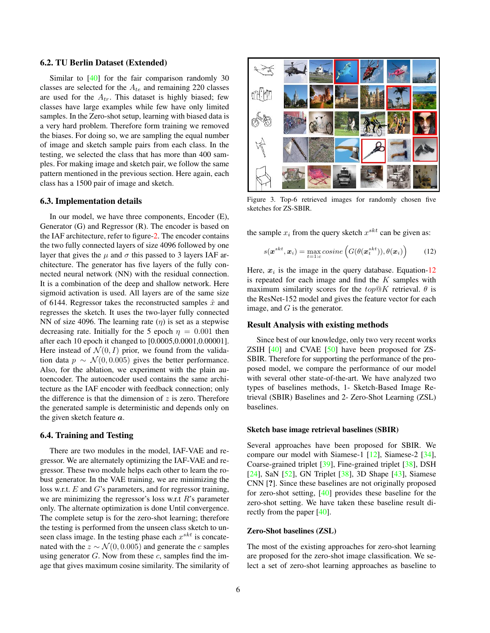#### 6.2. TU Berlin Dataset (Extended)

Similar to [40] for the fair comparison randomly 30 classes are selected for the  $A_{te}$  and remaining 220 classes are used for the  $A_{tr}$ . This dataset is highly biased; few classes have large examples while few have only limited samples. In the Zero-shot setup, learning with biased data is a very hard problem. Therefore form training we removed the biases. For doing so, we are sampling the equal number of image and sketch sample pairs from each class. In the testing, we selected the class that has more than 400 samples. For making image and sketch pair, we follow the same pattern mentioned in the previous section. Here again, each class has a 1500 pair of image and sketch.

#### 6.3. Implementation details

In our model, we have three components, Encoder (E), Generator (G) and Regressor (R). The encoder is based on the IAF architecture, refer to figure-2. The encoder contains the two fully connected layers of size 4096 followed by one layer that gives the  $\mu$  and  $\sigma$  this passed to 3 layers IAF architecture. The generator has five layers of the fully connected neural network (NN) with the residual connection. It is a combination of the deep and shallow network. Here sigmoid activation is used. All layers are of the same size of 6144. Regressor takes the reconstructed samples  $\hat{x}$  and regresses the sketch. It uses the two-layer fully connected NN of size 4096. The learning rate  $(\eta)$  is set as a stepwise decreasing rate. Initially for the 5 epoch  $\eta = 0.001$  then after each 10 epoch it changed to [0.0005,0.0001,0.00001]. Here instead of  $\mathcal{N}(0, I)$  prior, we found from the validation data  $p \sim \mathcal{N}(0, 0.005)$  gives the better performance. Also, for the ablation, we experiment with the plain autoencoder. The autoencoder used contains the same architecture as the IAF encoder with feedback connection; only the difference is that the dimension of  $z$  is zero. Therefore the generated sample is deterministic and depends only on the given sketch feature  $a$ .

## 6.4. Training and Testing

There are two modules in the model, IAF-VAE and regressor. We are alternately optimizing the IAF-VAE and regressor. These two module helps each other to learn the robust generator. In the VAE training, we are minimizing the loss w.r.t.  $E$  and  $G$ 's parameters, and for regressor training, we are minimizing the regressor's loss w.r.t  $R$ 's parameter only. The alternate optimization is done Until convergence. The complete setup is for the zero-shot learning; therefore the testing is performed from the unseen class sketch to unseen class image. In the testing phase each  $x^{skt}$  is concatenated with the  $z \sim \mathcal{N}(0, 0.005)$  and generate the c samples using generator  $G$ . Now from these  $c$ , samples find the image that gives maximum cosine similarity. The similarity of



Figure 3. Top-6 retrieved images for randomly chosen five sketches for ZS-SBIR.

the sample  $x_i$  from the query sketch  $x^{skt}$  can be given as:

$$
s(\boldsymbol{x}^{skt}, \boldsymbol{x}_i) = \max_{t=1:c} cosine\left(G(\theta(\boldsymbol{x}_t^{skt})), \theta(\boldsymbol{x}_i)\right) \tag{12}
$$

Here,  $x_i$  is the image in the query database. Equation-12 is repeated for each image and find the  $K$  samples with maximum similarity scores for the  $top@K$  retrieval.  $\theta$  is the ResNet-152 model and gives the feature vector for each image, and  $G$  is the generator.

## Result Analysis with existing methods

Since best of our knowledge, only two very recent works ZSIH  $[40]$  and CVAE  $[50]$  have been proposed for ZS-SBIR. Therefore for supporting the performance of the proposed model, we compare the performance of our model with several other state-of-the-art. We have analyzed two types of baselines methods, 1- Sketch-Based Image Retrieval (SBIR) Baselines and 2- Zero-Shot Learning (ZSL) baselines.

#### Sketch base image retrieval baselines (SBIR)

Several approaches have been proposed for SBIR. We compare our model with Siamese-1 [12], Siamese-2 [34], Coarse-grained triplet [39], Fine-grained triplet [38], DSH [24], SaN [52], GN Triplet [38], 3D Shape [43], Siamese CNN [?]. Since these baselines are not originally proposed for zero-shot setting, [40] provides these baseline for the zero-shot setting. We have taken these baseline result directly from the paper [40].

#### Zero-Shot baselines (ZSL)

The most of the existing approaches for zero-shot learning are proposed for the zero-shot image classification. We select a set of zero-shot learning approaches as baseline to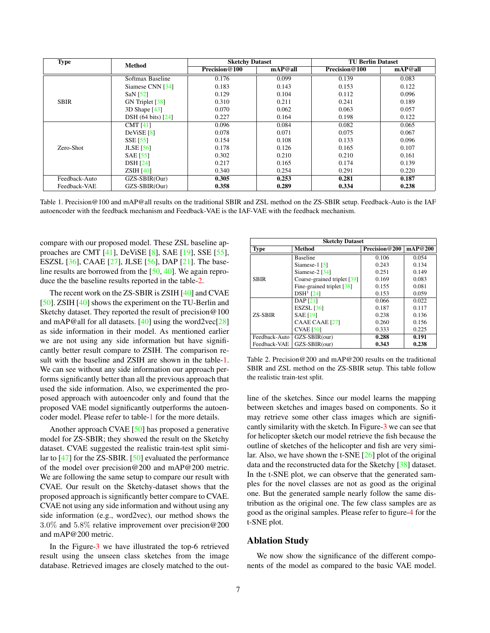| <b>Type</b>   | Method             | <b>Sketchy Dataset</b> |         | <b>TU Berlin Dataset</b> |         |
|---------------|--------------------|------------------------|---------|--------------------------|---------|
|               |                    | Precision@100          | mAP@all | Precision@100            | mAP@all |
| <b>SBIR</b>   | Softmax Baseline   | 0.176                  | 0.099   | 0.139                    | 0.083   |
|               | Siamese CNN [34]   | 0.183                  | 0.143   | 0.153                    | 0.122   |
|               | SaN $[52]$         | 0.129                  | 0.104   | 0.112                    | 0.096   |
|               | GN Triplet [38]    | 0.310                  | 0.211   | 0.241                    | 0.189   |
|               | $3D$ Shape $[43]$  | 0.070                  | 0.062   | 0.063                    | 0.057   |
|               | DSH (64 bits) [24] | 0.227                  | 0.164   | 0.198                    | 0.122   |
| Zero-Shot     | CMT $[41]$         | 0.096                  | 0.084   | 0.082                    | 0.065   |
|               | DeViSE [8]         | 0.078                  | 0.071   | 0.075                    | 0.067   |
|               | <b>SSE</b> [55]    | 0.154                  | 0.108   | 0.133                    | 0.096   |
|               | <b>JLSE</b> [56]   | 0.178                  | 0.126   | 0.165                    | 0.107   |
|               | <b>SAE</b> [55]    | 0.302                  | 0.210   | 0.210                    | 0.161   |
|               | <b>DSH</b> [24]    | 0.217                  | 0.165   | 0.174                    | 0.139   |
|               | ZSH[40]            | 0.340                  | 0.254   | 0.291                    | 0.220   |
| Feedback-Auto | GZS-SBIR(Our)      | 0.305                  | 0.253   | 0.281                    | 0.187   |
| Feedback-VAE  | GZS-SBIR(Our)      | 0.358                  | 0.289   | 0.334                    | 0.238   |

Table 1. Precision@100 and mAP@all results on the traditional SBIR and ZSL method on the ZS-SBIR setup. Feedback-Auto is the IAF autoencoder with the feedback mechanism and Feedback-VAE is the IAF-VAE with the feedback mechanism.

compare with our proposed model. These ZSL baseline approaches are CMT [41], DeViSE [8], SAE [19], SSE [55], ESZSL [36], CAAE [27], JLSE [56], DAP [21]. The baseline results are borrowed from the  $[50, 40]$ . We again reproduce the the baseline results reported in the table-2.

The recent work on the ZS-SBIR is ZSIH [40] and CVAE [50]. ZSIH [40] shows the experiment on the TU-Berlin and Sketchy dataset. They reported the result of precision@100 and mAP@all for all datasets.  $[40]$  using the word2vec $[28]$ as side information in their model. As mentioned earlier we are not using any side information but have significantly better result compare to ZSIH. The comparison result with the baseline and ZSIH are shown in the table-1. We can see without any side information our approach performs significantly better than all the previous approach that used the side information. Also, we experimented the proposed approach with autoencoder only and found that the proposed VAE model significantly outperforms the autoencoder model. Please refer to table-1 for the more details.

Another approach CVAE [50] has proposed a generative model for ZS-SBIR; they showed the result on the Sketchy dataset. CVAE suggested the realistic train-test split similar to [47] for the ZS-SBIR. [50] evaluated the performance of the model over precision@200 and mAP@200 metric. We are following the same setup to compare our result with CVAE. Our result on the Sketchy-dataset shows that the proposed approach is significantly better compare to CVAE. CVAE not using any side information and without using any side information (e.g., word2vec), our method shows the 3.0% and 5.8% relative improvement over precision@200 and mAP@200 metric.

In the Figure-3 we have illustrated the top-6 retrieved result using the unseen class sketches from the image database. Retrieved images are closely matched to the out-

| <b>Sketchy Dataset</b> |                                         |               |         |  |  |  |  |
|------------------------|-----------------------------------------|---------------|---------|--|--|--|--|
| <b>Method</b><br>Type  |                                         | Precision@200 | mAP@200 |  |  |  |  |
|                        | <b>Baseline</b>                         | 0.106         | 0.054   |  |  |  |  |
|                        | Siamese-1 $[5]$                         | 0.243         | 0.134   |  |  |  |  |
|                        | Siamese- $2$ [34]                       | 0.251         | 0.149   |  |  |  |  |
| <b>SBIR</b>            | Coarse-grained triplet [39]             | 0.169         | 0.083   |  |  |  |  |
|                        | Fine-grained triplet $\lceil 38 \rceil$ | 0.155         | 0.081   |  |  |  |  |
|                        | $DSH1$ [24]                             | 0.153         | 0.059   |  |  |  |  |
|                        | DAP [21]                                | 0.066         | 0.022   |  |  |  |  |
| <b>ZS-SBIR</b>         | ESZSL $[36]$                            | 0.187         | 0.117   |  |  |  |  |
|                        | <b>SAE</b> [19]                         | 0.238         | 0.136   |  |  |  |  |
|                        | CAAE CAAE [27]                          | 0.260         | 0.156   |  |  |  |  |
|                        | $CVAE$ [50]                             | 0.333         | 0.225   |  |  |  |  |
| Feedback-Auto          | GZS-SBIR(our)                           | 0.288         | 0.191   |  |  |  |  |
| Feedback-VAE           | GZS-SBIR(our)                           | 0.343         | 0.238   |  |  |  |  |

Table 2. Precision@200 and mAP@200 results on the traditional SBIR and ZSL method on the ZS-SBIR setup. This table follow the realistic train-test split.

line of the sketches. Since our model learns the mapping between sketches and images based on components. So it may retrieve some other class images which are significantly similarity with the sketch. In Figure-3 we can see that for helicopter sketch our model retrieve the fish because the outline of sketches of the helicopter and fish are very similar. Also, we have shown the t-SNE [26] plot of the original data and the reconstructed data for the Sketchy [38] dataset. In the t-SNE plot, we can observe that the generated samples for the novel classes are not as good as the original one. But the generated sample nearly follow the same distribution as the original one. The few class samples are as good as the original samples. Please refer to figure-4 for the t-SNE plot.

## Ablation Study

We now show the significance of the different components of the model as compared to the basic VAE model.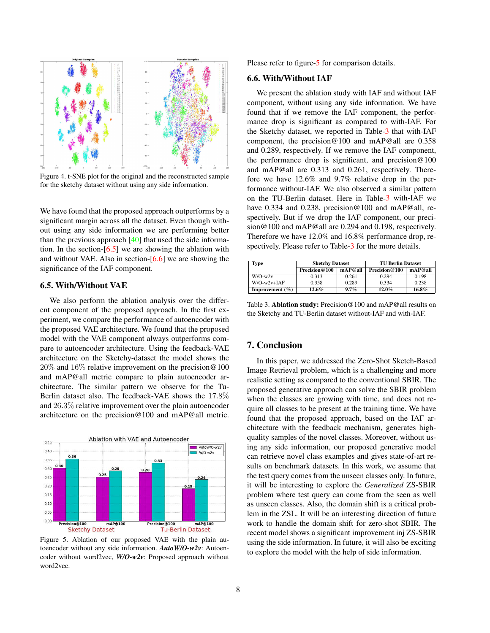

Figure 4. t-SNE plot for the original and the reconstructed sample for the sketchy dataset without using any side information.

We have found that the proposed approach outperforms by a significant margin across all the dataset. Even though without using any side information we are performing better than the previous approach [40] that used the side information. In the section-[6.5] we are showing the ablation with and without VAE. Also in section-[6.6] we are showing the significance of the IAF component.

## 6.5. With/Without VAE

We also perform the ablation analysis over the different component of the proposed approach. In the first experiment, we compare the performance of autoencoder with the proposed VAE architecture. We found that the proposed model with the VAE component always outperforms compare to autoencoder architecture. Using the feedback-VAE architecture on the Sketchy-dataset the model shows the 20% and 16% relative improvement on the precision@100 and mAP@all metric compare to plain autoencoder architecture. The similar pattern we observe for the Tu-Berlin dataset also. The feedback-VAE shows the 17.8% and 26.3% relative improvement over the plain autoencoder architecture on the precision@100 and mAP@all metric.



Figure 5. Ablation of our proposed VAE with the plain autoencoder without any side information. *AutoW/O-w2v*: Autoencoder without word2vec, *W/O-w2v*: Proposed approach without word2vec.

Please refer to figure-5 for comparison details.

#### 6.6. With/Without IAF

We present the ablation study with IAF and without IAF component, without using any side information. We have found that if we remove the IAF component, the performance drop is significant as compared to with-IAF. For the Sketchy dataset, we reported in Table-3 that with-IAF component, the precision@100 and mAP@all are 0.358 and 0.289, respectively. If we remove the IAF component, the performance drop is significant, and precision  $@100$ and mAP@all are 0.313 and 0.261, respectively. Therefore we have 12.6% and 9.7% relative drop in the performance without-IAF. We also observed a similar pattern on the TU-Berlin dataset. Here in Table-3 with-IAF we have 0.334 and 0.238, precision@100 and mAP@all, respectively. But if we drop the IAF component, our precision@100 and mAP@all are 0.294 and 0.198, respectively. Therefore we have 12.0% and 16.8% performance drop, respectively. Please refer to Table-3 for the more details.

| Type                | <b>Sketchy Dataset</b> |         | <b>TU Berlin Dataset</b> |         |
|---------------------|------------------------|---------|--------------------------|---------|
|                     | Precision@100          | mAP@all | Precision@100            | mAP@all |
| $W/O-w2v$           | 0.313                  | 0.261   | 0.294                    | 0.198   |
| $W/O-w2v+IAF$       | 0.358                  | 0.289   | 0.334                    | 0.238   |
| Improvement $(\% )$ | 12.6%                  | 9.7%    | $12.0\%$                 | 16.8%   |

Table 3. Ablation study: Precision@100 and mAP@all results on the Sketchy and TU-Berlin dataset without-IAF and with-IAF.

## 7. Conclusion

In this paper, we addressed the Zero-Shot Sketch-Based Image Retrieval problem, which is a challenging and more realistic setting as compared to the conventional SBIR. The proposed generative approach can solve the SBIR problem when the classes are growing with time, and does not require all classes to be present at the training time. We have found that the proposed approach, based on the IAF architecture with the feedback mechanism, generates highquality samples of the novel classes. Moreover, without using any side information, our proposed generative model can retrieve novel class examples and gives state-of-art results on benchmark datasets. In this work, we assume that the test query comes from the unseen classes only. In future, it will be interesting to explore the *Generalized* ZS-SBIR problem where test query can come from the seen as well as unseen classes. Also, the domain shift is a critical problem in the ZSL. It will be an interesting direction of future work to handle the domain shift for zero-shot SBIR. The recent model shows a significant improvement inj ZS-SBIR using the side information. In future, it will also be exciting to explore the model with the help of side information.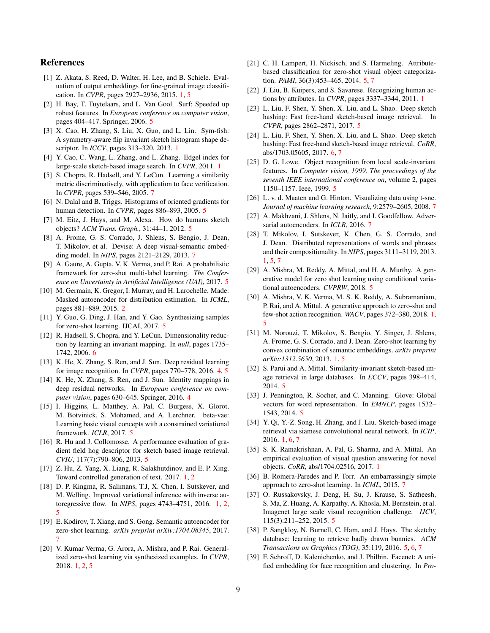## References

- [1] Z. Akata, S. Reed, D. Walter, H. Lee, and B. Schiele. Evaluation of output embeddings for fine-grained image classification. In *CVPR*, pages 2927–2936, 2015. 1, 5
- [2] H. Bay, T. Tuytelaars, and L. Van Gool. Surf: Speeded up robust features. In *European conference on computer vision*, pages 404–417. Springer, 2006. 5
- [3] X. Cao, H. Zhang, S. Liu, X. Guo, and L. Lin. Sym-fish: A symmetry-aware flip invariant sketch histogram shape descriptor. In *ICCV*, pages 313–320, 2013. 1
- [4] Y. Cao, C. Wang, L. Zhang, and L. Zhang. Edgel index for large-scale sketch-based image search. In *CVPR*, 2011. 1
- [5] S. Chopra, R. Hadsell, and Y. LeCun. Learning a similarity metric discriminatively, with application to face verification. In *CVPR*, pages 539–546, 2005. 7
- [6] N. Dalal and B. Triggs. Histograms of oriented gradients for human detection. In *CVPR*, pages 886–893, 2005. 5
- [7] M. Eitz, J. Hays, and M. Alexa. How do humans sketch objects? *ACM Trans. Graph.*, 31:44–1, 2012. 5
- [8] A. Frome, G. S. Corrado, J. Shlens, S. Bengio, J. Dean, T. Mikolov, et al. Devise: A deep visual-semantic embedding model. In *NIPS*, pages 2121–2129, 2013. 7
- [9] A. Gaure, A. Gupta, V. K. Verma, and P. Rai. A probabilistic framework for zero-shot multi-label learning. *The Conference on Uncertainty in Artificial Intelligence (UAI)*, 2017. 5
- [10] M. Germain, K. Gregor, I. Murray, and H. Larochelle. Made: Masked autoencoder for distribution estimation. In *ICML*, pages 881–889, 2015. 2
- [11] Y. Guo, G. Ding, J. Han, and Y. Gao. Synthesizing samples for zero-shot learning. IJCAI, 2017. 5
- [12] R. Hadsell, S. Chopra, and Y. LeCun. Dimensionality reduction by learning an invariant mapping. In *null*, pages 1735– 1742, 2006. 6
- [13] K. He, X. Zhang, S. Ren, and J. Sun. Deep residual learning for image recognition. In *CVPR*, pages 770–778, 2016. 4, 5
- [14] K. He, X. Zhang, S. Ren, and J. Sun. Identity mappings in deep residual networks. In *European conference on computer vision*, pages 630–645. Springer, 2016. 4
- [15] I. Higgins, L. Matthey, A. Pal, C. Burgess, X. Glorot, M. Botvinick, S. Mohamed, and A. Lerchner. beta-vae: Learning basic visual concepts with a constrained variational framework. *ICLR*, 2017. 5
- [16] R. Hu and J. Collomosse. A performance evaluation of gradient field hog descriptor for sketch based image retrieval. *CVIU*, 117(7):790–806, 2013. 5
- [17] Z. Hu, Z. Yang, X. Liang, R. Salakhutdinov, and E. P. Xing. Toward controlled generation of text. 2017. 1, 2
- [18] D. P. Kingma, R. Salimans, T.J, X. Chen, I. Sutskever, and M. Welling. Improved variational inference with inverse autoregressive flow. In *NIPS*, pages 4743–4751, 2016. 1, 2, 5
- [19] E. Kodirov, T. Xiang, and S. Gong. Semantic autoencoder for zero-shot learning. *arXiv preprint arXiv:1704.08345*, 2017. 7
- [20] V. Kumar Verma, G. Arora, A. Mishra, and P. Rai. Generalized zero-shot learning via synthesized examples. In *CVPR*, 2018. 1, 2, 5
- [21] C. H. Lampert, H. Nickisch, and S. Harmeling. Attributebased classification for zero-shot visual object categorization. *PAMI*, 36(3):453–465, 2014. 5, 7
- [22] J. Liu, B. Kuipers, and S. Savarese. Recognizing human actions by attributes. In *CVPR*, pages 3337–3344, 2011. 1
- [23] L. Liu, F. Shen, Y. Shen, X. Liu, and L. Shao. Deep sketch hashing: Fast free-hand sketch-based image retrieval. In *CVPR*, pages 2862–2871, 2017. 5
- [24] L. Liu, F. Shen, Y. Shen, X. Liu, and L. Shao. Deep sketch hashing: Fast free-hand sketch-based image retrieval. *CoRR*, abs/1703.05605, 2017. 6, 7
- [25] D. G. Lowe. Object recognition from local scale-invariant features. In *Computer vision, 1999. The proceedings of the seventh IEEE international conference on*, volume 2, pages 1150–1157. Ieee, 1999. 5
- [26] L. v. d. Maaten and G. Hinton. Visualizing data using t-sne. *Journal of machine learning research*, 9:2579–2605, 2008. 7
- [27] A. Makhzani, J. Shlens, N. Jaitly, and I. Goodfellow. Adversarial autoencoders. In *ICLR*, 2016. 7
- [28] T. Mikolov, I. Sutskever, K. Chen, G. S. Corrado, and J. Dean. Distributed representations of words and phrases and their compositionality. In *NIPS*, pages 3111–3119, 2013. 1, 5, 7
- [29] A. Mishra, M. Reddy, A. Mittal, and H. A. Murthy. A generative model for zero shot learning using conditional variational autoencoders. *CVPRW*, 2018. 5
- [30] A. Mishra, V. K. Verma, M. S. K. Reddy, A. Subramaniam, P. Rai, and A. Mittal. A generative approach to zero-shot and few-shot action recognition. *WACV*, pages 372–380, 2018. 1, 5
- [31] M. Norouzi, T. Mikolov, S. Bengio, Y. Singer, J. Shlens, A. Frome, G. S. Corrado, and J. Dean. Zero-shot learning by convex combination of semantic embeddings. *arXiv preprint arXiv:1312.5650*, 2013. 1, 5
- [32] S. Parui and A. Mittal. Similarity-invariant sketch-based image retrieval in large databases. In *ECCV*, pages 398–414, 2014. 5
- [33] J. Pennington, R. Socher, and C. Manning. Glove: Global vectors for word representation. In *EMNLP*, pages 1532– 1543, 2014. 5
- [34] Y. Qi, Y.-Z. Song, H. Zhang, and J. Liu. Sketch-based image retrieval via siamese convolutional neural network. In *ICIP*, 2016. 1, 6, 7
- [35] S. K. Ramakrishnan, A. Pal, G. Sharma, and A. Mittal. An empirical evaluation of visual question answering for novel objects. *CoRR*, abs/1704.02516, 2017. 1
- [36] B. Romera-Paredes and P. Torr. An embarrassingly simple approach to zero-shot learning. In *ICML*, 2015. 7
- [37] O. Russakovsky, J. Deng, H. Su, J. Krause, S. Satheesh, S. Ma, Z. Huang, A. Karpathy, A. Khosla, M. Bernstein, et al. Imagenet large scale visual recognition challenge. *IJCV*, 115(3):211–252, 2015. 5
- [38] P. Sangkloy, N. Burnell, C. Ham, and J. Hays. The sketchy database: learning to retrieve badly drawn bunnies. *ACM Transactions on Graphics (TOG)*, 35:119, 2016. 5, 6, 7
- [39] F. Schroff, D. Kalenichenko, and J. Philbin. Facenet: A unified embedding for face recognition and clustering. In *Pro-*